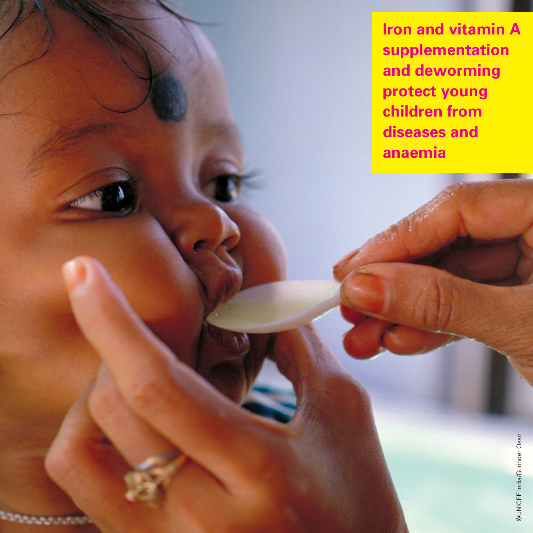**Iron and vitamin A supplementation and deworming protect young children from diseases and anaemia**

**BANDARI**